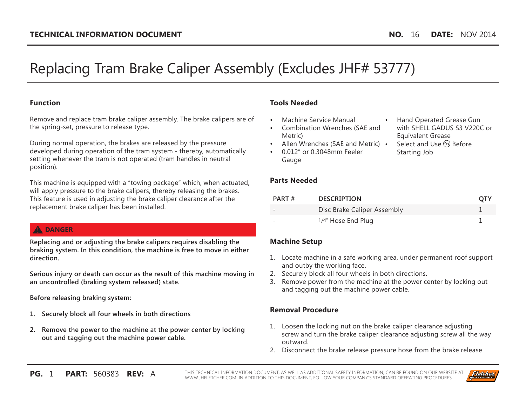# Replacing Tram Brake Caliper Assembly (Excludes JHF# 53777)

#### **Function**

Remove and replace tram brake caliper assembly. The brake calipers are of the spring-set, pressure to release type.

During normal operation, the brakes are released by the pressure developed during operation of the tram system - thereby, automatically setting whenever the tram is not operated (tram handles in neutral position).

This machine is equipped with a "towing package" which, when actuated, will apply pressure to the brake calipers, thereby releasing the brakes. This feature is used in adjusting the brake caliper clearance after the replacement brake caliper has been installed.

# **A** DANGER

**Replacing and or adjusting the brake calipers requires disabling the braking system. In this condition, the machine is free to move in either direction.** 

**Serious injury or death can occur as the result of this machine moving in an uncontrolled (braking system released) state.**

**Before releasing braking system:**

- **1. Securely block all four wheels in both directions**
- **2. Remove the power to the machine at the power center by locking out and tagging out the machine power cable.**

# **Tools Needed**

- Machine Service Manual
- Combination Wrenches (SAE and Metric)
- Allen Wrenches (SAE and Metric) •
- 0.012" or 0.3048mm Feeler Gauge
- **Parts Needed**
- Hand Operated Grease Gun with SHELL GADUS S3 V220C or Equivalent Grease
- Select and Use (PE) Before Starting Job

| PART# | <b>DESCRIPTION</b>          | <b>OTY</b> |
|-------|-----------------------------|------------|
|       | Disc Brake Caliper Assembly |            |
|       | 1/4" Hose End Plug          |            |

# **Machine Setup**

- 1. Locate machine in a safe working area, under permanent roof support and outby the working face.
- 2. Securely block all four wheels in both directions.
- 3. Remove power from the machine at the power center by locking out and tagging out the machine power cable.

## **Removal Procedure**

- 1. Loosen the locking nut on the brake caliper clearance adjusting screw and turn the brake caliper clearance adjusting screw all the way outward.
- 2. Disconnect the brake release pressure hose from the brake release

**PG.** 1 **PART:** 560383 **REV:** A THIS TECHNICAL INFORMATION DOCUMENT, AS WELL AS ADDITIONAL SAFETY INFORMATION, CAN BE FOUND ON OUR WEBSITE AT WWW.JHFLETCHER.COM. IN ADDITION TO THIS DOCUMENT, FOLLOW YOUR COMPANY'S STANDARD OPERATING PROCEDURES.

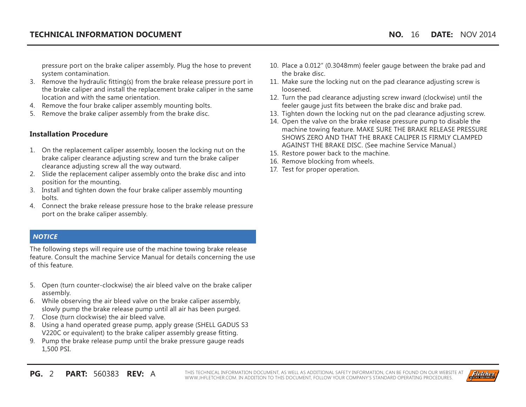pressure port on the brake caliper assembly. Plug the hose to prevent system contamination.

- 3. Remove the hydraulic fitting(s) from the brake release pressure port in the brake caliper and install the replacement brake caliper in the same location and with the same orientation.
- 4. Remove the four brake caliper assembly mounting bolts.
- 5. Remove the brake caliper assembly from the brake disc.

#### **Installation Procedure**

- 1. On the replacement caliper assembly, loosen the locking nut on the brake caliper clearance adjusting screw and turn the brake caliper clearance adjusting screw all the way outward.
- 2. Slide the replacement caliper assembly onto the brake disc and into position for the mounting.
- 3. Install and tighten down the four brake caliper assembly mounting bolts.
- 4. Connect the brake release pressure hose to the brake release pressure port on the brake caliper assembly.

### *NOTICE*

The following steps will require use of the machine towing brake release feature. Consult the machine Service Manual for details concerning the use of this feature.

- 5. Open (turn counter-clockwise) the air bleed valve on the brake caliper assembly.
- 6. While observing the air bleed valve on the brake caliper assembly, slowly pump the brake release pump until all air has been purged.
- 7. Close (turn clockwise) the air bleed valve.
- 8. Using a hand operated grease pump, apply grease (SHELL GADUS S3 V220C or equivalent) to the brake caliper assembly grease fitting.
- 9. Pump the brake release pump until the brake pressure gauge reads 1,500 PSI.
- 10. Place a 0.012" (0.3048mm) feeler gauge between the brake pad and the brake disc.
- 11. Make sure the locking nut on the pad clearance adjusting screw is loosened.
- 12. Turn the pad clearance adjusting screw inward (clockwise) until the feeler gauge just fits between the brake disc and brake pad.
- 13. Tighten down the locking nut on the pad clearance adjusting screw.
- 14. Open the valve on the brake release pressure pump to disable the machine towing feature. MAKE SURE THE BRAKE RELEASE PRESSURE SHOWS ZERO AND THAT THE BRAKE CALIPER IS FIRMLY CLAMPED AGAINST THE BRAKE DISC. (See machine Service Manual.)
- 15. Restore power back to the machine.
- 16. Remove blocking from wheels.
- 17. Test for proper operation.